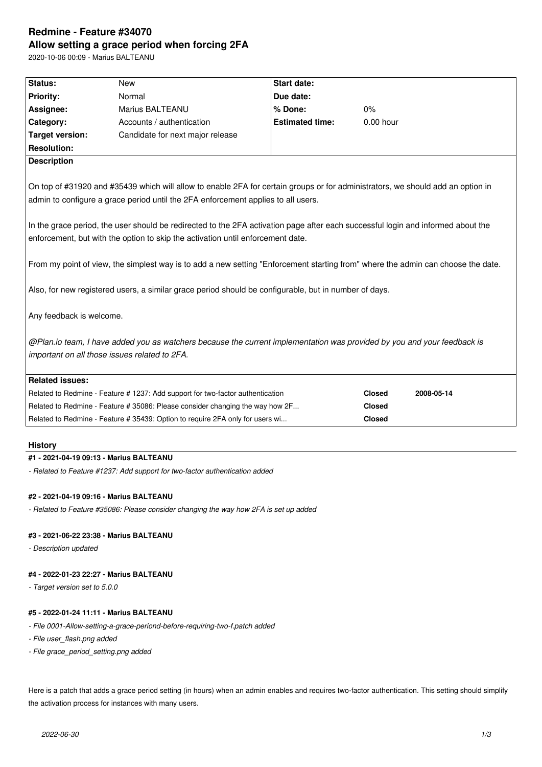# **Redmine - Feature #34070 Allow setting a grace period when forcing 2FA**

2020-10-06 00:09 - Marius BALTEANU

| Status:                                                                                                                          | <b>New</b>                                                                     | <b>Start date:</b>     |               |            |  |  |
|----------------------------------------------------------------------------------------------------------------------------------|--------------------------------------------------------------------------------|------------------------|---------------|------------|--|--|
| <b>Priority:</b>                                                                                                                 | Normal                                                                         | Due date:              |               |            |  |  |
| Assignee:                                                                                                                        | Marius BALTEANU                                                                | % Done:                | 0%            |            |  |  |
| Category:                                                                                                                        | Accounts / authentication                                                      | <b>Estimated time:</b> | $0.00$ hour   |            |  |  |
| <b>Target version:</b>                                                                                                           | Candidate for next major release                                               |                        |               |            |  |  |
| <b>Resolution:</b>                                                                                                               |                                                                                |                        |               |            |  |  |
| <b>Description</b>                                                                                                               |                                                                                |                        |               |            |  |  |
|                                                                                                                                  |                                                                                |                        |               |            |  |  |
| On top of #31920 and #35439 which will allow to enable 2FA for certain groups or for administrators, we should add an option in  |                                                                                |                        |               |            |  |  |
| admin to configure a grace period until the 2FA enforcement applies to all users.                                                |                                                                                |                        |               |            |  |  |
|                                                                                                                                  |                                                                                |                        |               |            |  |  |
| In the grace period, the user should be redirected to the 2FA activation page after each successful login and informed about the |                                                                                |                        |               |            |  |  |
| enforcement, but with the option to skip the activation until enforcement date.                                                  |                                                                                |                        |               |            |  |  |
|                                                                                                                                  |                                                                                |                        |               |            |  |  |
| From my point of view, the simplest way is to add a new setting "Enforcement starting from" where the admin can choose the date. |                                                                                |                        |               |            |  |  |
|                                                                                                                                  |                                                                                |                        |               |            |  |  |
| Also, for new registered users, a similar grace period should be configurable, but in number of days.                            |                                                                                |                        |               |            |  |  |
|                                                                                                                                  |                                                                                |                        |               |            |  |  |
| Any feedback is welcome.                                                                                                         |                                                                                |                        |               |            |  |  |
|                                                                                                                                  |                                                                                |                        |               |            |  |  |
| @Plan.io team, I have added you as watchers because the current implementation was provided by you and your feedback is          |                                                                                |                        |               |            |  |  |
| important on all those issues related to 2FA.                                                                                    |                                                                                |                        |               |            |  |  |
|                                                                                                                                  |                                                                                |                        |               |            |  |  |
| <b>Related issues:</b>                                                                                                           |                                                                                |                        |               |            |  |  |
|                                                                                                                                  | Related to Redmine - Feature # 1237: Add support for two-factor authentication |                        | <b>Closed</b> | 2008-05-14 |  |  |
|                                                                                                                                  | Related to Redmine - Feature # 35086: Please consider changing the way how 2F  |                        | <b>Closed</b> |            |  |  |
|                                                                                                                                  | Related to Redmine - Feature # 35439: Option to require 2FA only for users wi  |                        | <b>Closed</b> |            |  |  |
|                                                                                                                                  |                                                                                |                        |               |            |  |  |

### **History**

# **#1 - 2021-04-19 09:13 - Marius BALTEANU**

*- Related to Feature #1237: Add support for two-factor authentication added*

# **#2 - 2021-04-19 09:16 - Marius BALTEANU**

*- Related to Feature #35086: Please consider changing the way how 2FA is set up added*

# **#3 - 2021-06-22 23:38 - Marius BALTEANU**

*- Description updated*

## **#4 - 2022-01-23 22:27 - Marius BALTEANU**

*- Target version set to 5.0.0*

# **#5 - 2022-01-24 11:11 - Marius BALTEANU**

- *File 0001-Allow-setting-a-grace-periond-before-requiring-two-f.patch added*
- *File user\_flash.png added*
- *File grace\_period\_setting.png added*

Here is a patch that adds a grace period setting (in hours) when an admin enables and requires two-factor authentication. This setting should simplify the activation process for instances with many users.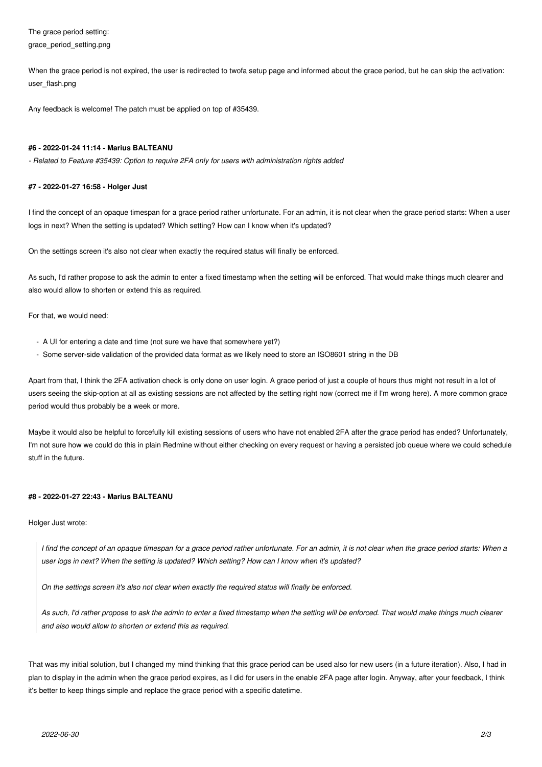The grace period setting: grace\_period\_setting.png

When the grace period is not expired, the user is redirected to twofa setup page and informed about the grace period, but he can skip the activation: user\_flash.png

Any feedback is welcome! The patch must be applied on top of #35439.

#### **#6 - 2022-01-24 11:14 - Marius BALTEANU**

*- Related to Feature #35439: Option to require 2FA only for users with administration rights added*

#### **#7 - 2022-01-27 16:58 - Holger Just**

I find the concept of an opaque timespan for a grace period rather unfortunate. For an admin, it is not clear when the grace period starts: When a user logs in next? When the setting is updated? Which setting? How can I know when it's updated?

On the settings screen it's also not clear when exactly the required status will finally be enforced.

As such, I'd rather propose to ask the admin to enter a fixed timestamp when the setting will be enforced. That would make things much clearer and also would allow to shorten or extend this as required.

For that, we would need:

- A UI for entering a date and time (not sure we have that somewhere yet?)
- Some server-side validation of the provided data format as we likely need to store an ISO8601 string in the DB

Apart from that, I think the 2FA activation check is only done on user login. A grace period of just a couple of hours thus might not result in a lot of users seeing the skip-option at all as existing sessions are not affected by the setting right now (correct me if I'm wrong here). A more common grace period would thus probably be a week or more.

Maybe it would also be helpful to forcefully kill existing sessions of users who have not enabled 2FA after the grace period has ended? Unfortunately, I'm not sure how we could do this in plain Redmine without either checking on every request or having a persisted job queue where we could schedule stuff in the future.

#### **#8 - 2022-01-27 22:43 - Marius BALTEANU**

Holger Just wrote:

*I find the concept of an opaque timespan for a grace period rather unfortunate. For an admin, it is not clear when the grace period starts: When a user logs in next? When the setting is updated? Which setting? How can I know when it's updated?*

*On the settings screen it's also not clear when exactly the required status will finally be enforced.*

*As such, I'd rather propose to ask the admin to enter a fixed timestamp when the setting will be enforced. That would make things much clearer and also would allow to shorten or extend this as required.*

That was my initial solution, but I changed my mind thinking that this grace period can be used also for new users (in a future iteration). Also, I had in plan to display in the admin when the grace period expires, as I did for users in the enable 2FA page after login. Anyway, after your feedback, I think it's better to keep things simple and replace the grace period with a specific datetime.